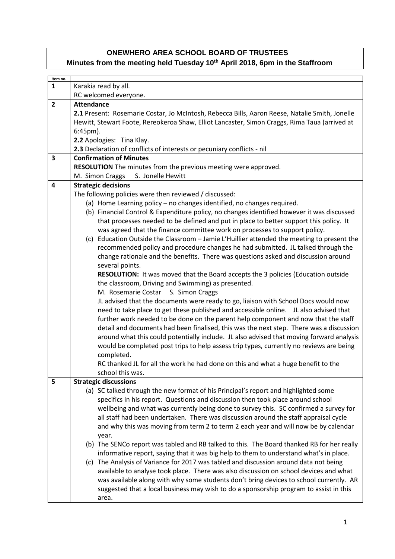## **ONEWHERO AREA SCHOOL BOARD OF TRUSTEES Minutes from the meeting held Tuesday 10th April 2018, 6pm in the Staffroom**

| Item no.       |                                                                                                |  |  |  |
|----------------|------------------------------------------------------------------------------------------------|--|--|--|
| $\mathbf{1}$   | Karakia read by all.                                                                           |  |  |  |
|                | RC welcomed everyone.                                                                          |  |  |  |
| $\overline{2}$ | <b>Attendance</b>                                                                              |  |  |  |
|                | 2.1 Present: Rosemarie Costar, Jo McIntosh, Rebecca Bills, Aaron Reese, Natalie Smith, Jonelle |  |  |  |
|                | Hewitt, Stewart Foote, Rereokeroa Shaw, Elliot Lancaster, Simon Craggs, Rima Taua (arrived at  |  |  |  |
|                | $6:45$ pm).                                                                                    |  |  |  |
|                | 2.2 Apologies: Tina Klay.                                                                      |  |  |  |
|                | 2.3 Declaration of conflicts of interests or pecuniary conflicts - nil                         |  |  |  |
| 3              | <b>Confirmation of Minutes</b>                                                                 |  |  |  |
|                | RESOLUTION The minutes from the previous meeting were approved.                                |  |  |  |
|                | S. Jonelle Hewitt<br>M. Simon Craggs                                                           |  |  |  |
| 4              |                                                                                                |  |  |  |
|                | <b>Strategic decisions</b>                                                                     |  |  |  |
|                | The following policies were then reviewed / discussed:                                         |  |  |  |
|                | (a) Home Learning policy - no changes identified, no changes required.                         |  |  |  |
|                | (b) Financial Control & Expenditure policy, no changes identified however it was discussed     |  |  |  |
|                | that processes needed to be defined and put in place to better support this policy. It         |  |  |  |
|                | was agreed that the finance committee work on processes to support policy.                     |  |  |  |
|                | (c) Education Outside the Classroom - Jamie L'Huillier attended the meeting to present the     |  |  |  |
|                | recommended policy and procedure changes he had submitted. JL talked through the               |  |  |  |
|                | change rationale and the benefits. There was questions asked and discussion around             |  |  |  |
|                | several points.                                                                                |  |  |  |
|                | <b>RESOLUTION:</b> It was moved that the Board accepts the 3 policies (Education outside       |  |  |  |
|                | the classroom, Driving and Swimming) as presented.                                             |  |  |  |
|                | M. Rosemarie Costar<br>S. Simon Craggs                                                         |  |  |  |
|                | JL advised that the documents were ready to go, liaison with School Docs would now             |  |  |  |
|                | need to take place to get these published and accessible online. JL also advised that          |  |  |  |
|                | further work needed to be done on the parent help component and now that the staff             |  |  |  |
|                | detail and documents had been finalised, this was the next step. There was a discussion        |  |  |  |
|                | around what this could potentially include. JL also advised that moving forward analysis       |  |  |  |
|                | would be completed post trips to help assess trip types, currently no reviews are being        |  |  |  |
|                | completed.                                                                                     |  |  |  |
|                | RC thanked JL for all the work he had done on this and what a huge benefit to the              |  |  |  |
|                | school this was.                                                                               |  |  |  |
| 5              | <b>Strategic discussions</b>                                                                   |  |  |  |
|                | (a) SC talked through the new format of his Principal's report and highlighted some            |  |  |  |
|                | specifics in his report. Questions and discussion then took place around school                |  |  |  |
|                | wellbeing and what was currently being done to survey this. SC confirmed a survey for          |  |  |  |
|                | all staff had been undertaken. There was discussion around the staff appraisal cycle           |  |  |  |
|                | and why this was moving from term 2 to term 2 each year and will now be by calendar            |  |  |  |
|                | year.                                                                                          |  |  |  |
|                | (b) The SENCo report was tabled and RB talked to this. The Board thanked RB for her really     |  |  |  |
|                | informative report, saying that it was big help to them to understand what's in place.         |  |  |  |
|                | (c) The Analysis of Variance for 2017 was tabled and discussion around data not being          |  |  |  |
|                | available to analyse took place. There was also discussion on school devices and what          |  |  |  |
|                |                                                                                                |  |  |  |
|                | was available along with why some students don't bring devices to school currently. AR         |  |  |  |
|                | suggested that a local business may wish to do a sponsorship program to assist in this         |  |  |  |
|                | area.                                                                                          |  |  |  |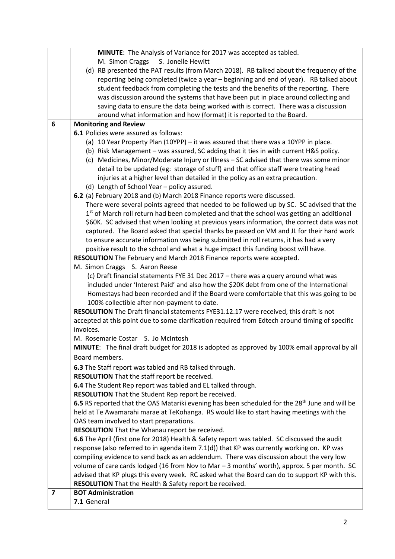|                                                                                       | MINUTE: The Analysis of Variance for 2017 was accepted as tabled.                                                         |  |  |
|---------------------------------------------------------------------------------------|---------------------------------------------------------------------------------------------------------------------------|--|--|
|                                                                                       | M. Simon Craggs S. Jonelle Hewitt                                                                                         |  |  |
|                                                                                       | (d) RB presented the PAT results (from March 2018). RB talked about the frequency of the                                  |  |  |
|                                                                                       | reporting being completed (twice a year - beginning and end of year). RB talked about                                     |  |  |
|                                                                                       | student feedback from completing the tests and the benefits of the reporting. There                                       |  |  |
|                                                                                       | was discussion around the systems that have been put in place around collecting and                                       |  |  |
|                                                                                       | saving data to ensure the data being worked with is correct. There was a discussion                                       |  |  |
|                                                                                       | around what information and how (format) it is reported to the Board.                                                     |  |  |
| 6                                                                                     | <b>Monitoring and Review</b>                                                                                              |  |  |
|                                                                                       | <b>6.1</b> Policies were assured as follows:                                                                              |  |  |
|                                                                                       | (a) 10 Year Property Plan (10YPP) - it was assured that there was a 10YPP in place.                                       |  |  |
| (b) Risk Management - was assured, SC adding that it ties in with current H&S policy. |                                                                                                                           |  |  |
|                                                                                       | (c) Medicines, Minor/Moderate Injury or Illness - SC advised that there was some minor                                    |  |  |
|                                                                                       | detail to be updated (eg: storage of stuff) and that office staff were treating head                                      |  |  |
|                                                                                       | injuries at a higher level than detailed in the policy as an extra precaution.                                            |  |  |
|                                                                                       | (d) Length of School Year - policy assured.                                                                               |  |  |
|                                                                                       | 6.2 (a) February 2018 and (b) March 2018 Finance reports were discussed.                                                  |  |  |
|                                                                                       | There were several points agreed that needed to be followed up by SC. SC advised that the                                 |  |  |
|                                                                                       | 1 <sup>st</sup> of March roll return had been completed and that the school was getting an additional                     |  |  |
|                                                                                       | \$60K. SC advised that when looking at previous years information, the correct data was not                               |  |  |
|                                                                                       | captured. The Board asked that special thanks be passed on VM and JL for their hard work                                  |  |  |
|                                                                                       | to ensure accurate information was being submitted in roll returns, it has had a very                                     |  |  |
| positive result to the school and what a huge impact this funding boost will have.    |                                                                                                                           |  |  |
|                                                                                       | RESOLUTION The February and March 2018 Finance reports were accepted.                                                     |  |  |
|                                                                                       | M. Simon Craggs S. Aaron Reese                                                                                            |  |  |
|                                                                                       | (c) Draft financial statements FYE 31 Dec 2017 - there was a query around what was                                        |  |  |
|                                                                                       | included under 'Interest Paid' and also how the \$20K debt from one of the International                                  |  |  |
|                                                                                       | Homestays had been recorded and if the Board were comfortable that this was going to be                                   |  |  |
|                                                                                       | 100% collectible after non-payment to date.                                                                               |  |  |
|                                                                                       | RESOLUTION The Draft financial statements FYE31.12.17 were received, this draft is not                                    |  |  |
|                                                                                       | accepted at this point due to some clarification required from Edtech around timing of specific                           |  |  |
|                                                                                       | invoices.                                                                                                                 |  |  |
|                                                                                       | M. Rosemarie Costar S. Jo McIntosh                                                                                        |  |  |
|                                                                                       | <b>MINUTE:</b> The final draft budget for 2018 is adopted as approved by 100% email approval by all                       |  |  |
|                                                                                       | Board members.<br>6.3 The Staff report was tabled and RB talked through.<br>RESOLUTION That the staff report be received. |  |  |
|                                                                                       |                                                                                                                           |  |  |
|                                                                                       |                                                                                                                           |  |  |
|                                                                                       | 6.4 The Student Rep report was tabled and EL talked through.                                                              |  |  |
|                                                                                       | RESOLUTION That the Student Rep report be received.                                                                       |  |  |
|                                                                                       | 6.5 RS reported that the OAS Matariki evening has been scheduled for the 28 <sup>th</sup> June and will be                |  |  |
|                                                                                       | held at Te Awamarahi marae at TeKohanga. RS would like to start having meetings with the                                  |  |  |
|                                                                                       | OAS team involved to start preparations.                                                                                  |  |  |
|                                                                                       | RESOLUTION That the Whanau report be received.                                                                            |  |  |
|                                                                                       | 6.6 The April (first one for 2018) Health & Safety report was tabled. SC discussed the audit                              |  |  |
|                                                                                       | response (also referred to in agenda item 7.1(d)) that KP was currently working on. KP was                                |  |  |
|                                                                                       | compiling evidence to send back as an addendum. There was discussion about the very low                                   |  |  |
|                                                                                       | volume of care cards lodged (16 from Nov to Mar - 3 months' worth), approx. 5 per month. SC                               |  |  |
|                                                                                       | advised that KP plugs this every week. RC asked what the Board can do to support KP with this.                            |  |  |
|                                                                                       | RESOLUTION That the Health & Safety report be received.                                                                   |  |  |
| $\overline{\mathbf{z}}$                                                               | <b>BOT Administration</b>                                                                                                 |  |  |
|                                                                                       | 7.1 General                                                                                                               |  |  |
|                                                                                       |                                                                                                                           |  |  |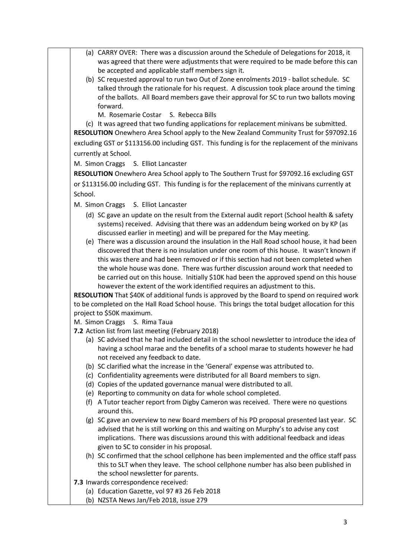- (a) CARRY OVER: There was a discussion around the Schedule of Delegations for 2018, it was agreed that there were adjustments that were required to be made before this can be accepted and applicable staff members sign it.
	- (b) SC requested approval to run two Out of Zone enrolments 2019 ballot schedule. SC talked through the rationale for his request. A discussion took place around the timing of the ballots. All Board members gave their approval for SC to run two ballots moving forward.
		- M. Rosemarie Costar S. Rebecca Bills

(c) It was agreed that two funding applications for replacement minivans be submitted. **RESOLUTION** Onewhero Area School apply to the New Zealand Community Trust for \$97092.16 excluding GST or \$113156.00 including GST. This funding is for the replacement of the minivans currently at School.

M. Simon Craggs S. Elliot Lancaster

**RESOLUTION** Onewhero Area School apply to The Southern Trust for \$97092.16 excluding GST or \$113156.00 including GST. This funding is for the replacement of the minivans currently at School.

- M. Simon Craggs S. Elliot Lancaster
	- (d) SC gave an update on the result from the External audit report (School health & safety systems) received. Advising that there was an addendum being worked on by KP (as discussed earlier in meeting) and will be prepared for the May meeting.
	- (e) There was a discussion around the insulation in the Hall Road school house, it had been discovered that there is no insulation under one room of this house. It wasn't known if this was there and had been removed or if this section had not been completed when the whole house was done. There was further discussion around work that needed to be carried out on this house. Initially \$10K had been the approved spend on this house however the extent of the work identified requires an adjustment to this.

**RESOLUTION** That \$40K of additional funds is approved by the Board to spend on required work to be completed on the Hall Road School house. This brings the total budget allocation for this project to \$50K maximum.

- M. Simon Craggs S. Rima Taua
- **7.2** Action list from last meeting (February 2018)
	- (a) SC advised that he had included detail in the school newsletter to introduce the idea of having a school marae and the benefits of a school marae to students however he had not received any feedback to date.
	- (b) SC clarified what the increase in the 'General' expense was attributed to.
	- (c) Confidentiality agreements were distributed for all Board members to sign.
	- (d) Copies of the updated governance manual were distributed to all.
	- (e) Reporting to community on data for whole school completed.
	- (f) A Tutor teacher report from Digby Cameron was received. There were no questions around this.
	- (g) SC gave an overview to new Board members of his PD proposal presented last year. SC advised that he is still working on this and waiting on Murphy's to advise any cost implications. There was discussions around this with additional feedback and ideas given to SC to consider in his proposal.
	- (h) SC confirmed that the school cellphone has been implemented and the office staff pass this to SLT when they leave. The school cellphone number has also been published in the school newsletter for parents.
- **7.3** Inwards correspondence received:
	- (a) Education Gazette, vol 97 #3 26 Feb 2018
	- (b) NZSTA News Jan/Feb 2018, issue 279